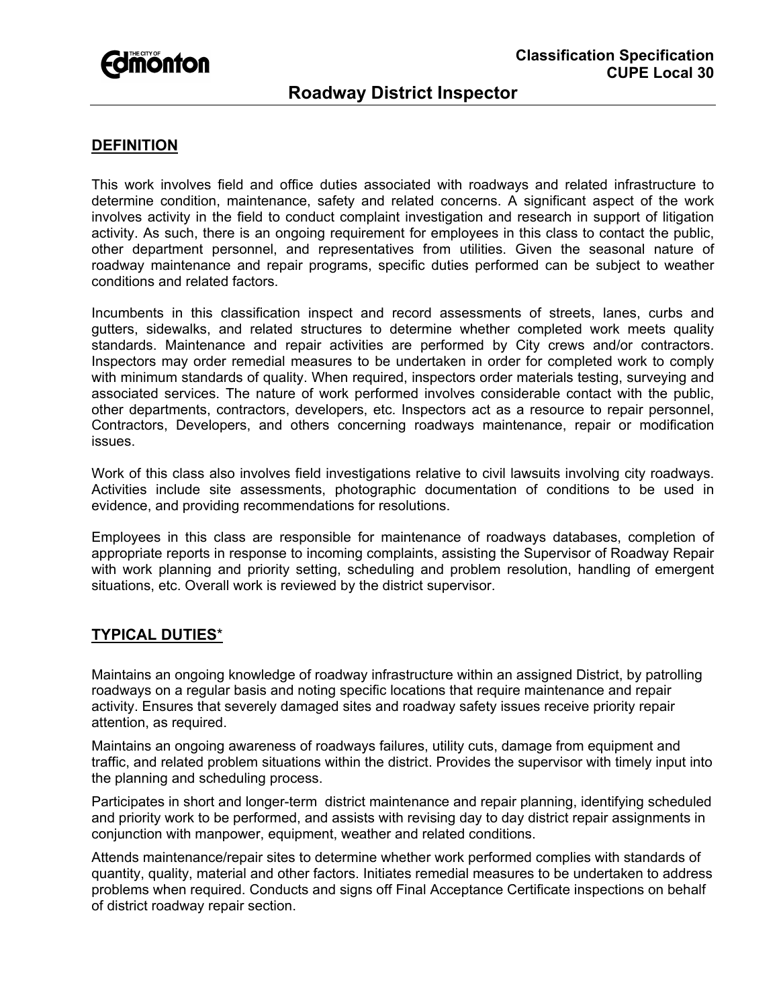# **Fdmönton**

## **Classification Specification CUPE Local 30**

## **Roadway District Inspector**

### **DEFINITION**

This work involves field and office duties associated with roadways and related infrastructure to determine condition, maintenance, safety and related concerns. A significant aspect of the work involves activity in the field to conduct complaint investigation and research in support of litigation activity. As such, there is an ongoing requirement for employees in this class to contact the public, other department personnel, and representatives from utilities. Given the seasonal nature of roadway maintenance and repair programs, specific duties performed can be subject to weather conditions and related factors.

Incumbents in this classification inspect and record assessments of streets, lanes, curbs and gutters, sidewalks, and related structures to determine whether completed work meets quality standards. Maintenance and repair activities are performed by City crews and/or contractors. Inspectors may order remedial measures to be undertaken in order for completed work to comply with minimum standards of quality. When required, inspectors order materials testing, surveying and associated services. The nature of work performed involves considerable contact with the public, other departments, contractors, developers, etc. Inspectors act as a resource to repair personnel, Contractors, Developers, and others concerning roadways maintenance, repair or modification issues.

Work of this class also involves field investigations relative to civil lawsuits involving city roadways. Activities include site assessments, photographic documentation of conditions to be used in evidence, and providing recommendations for resolutions.

Employees in this class are responsible for maintenance of roadways databases, completion of appropriate reports in response to incoming complaints, assisting the Supervisor of Roadway Repair with work planning and priority setting, scheduling and problem resolution, handling of emergent situations, etc. Overall work is reviewed by the district supervisor.

#### **TYPICAL DUTIES**\*

Maintains an ongoing knowledge of roadway infrastructure within an assigned District, by patrolling roadways on a regular basis and noting specific locations that require maintenance and repair activity. Ensures that severely damaged sites and roadway safety issues receive priority repair attention, as required.

Maintains an ongoing awareness of roadways failures, utility cuts, damage from equipment and traffic, and related problem situations within the district. Provides the supervisor with timely input into the planning and scheduling process.

Participates in short and longer-term district maintenance and repair planning, identifying scheduled and priority work to be performed, and assists with revising day to day district repair assignments in conjunction with manpower, equipment, weather and related conditions.

Attends maintenance/repair sites to determine whether work performed complies with standards of quantity, quality, material and other factors. Initiates remedial measures to be undertaken to address problems when required. Conducts and signs off Final Acceptance Certificate inspections on behalf of district roadway repair section.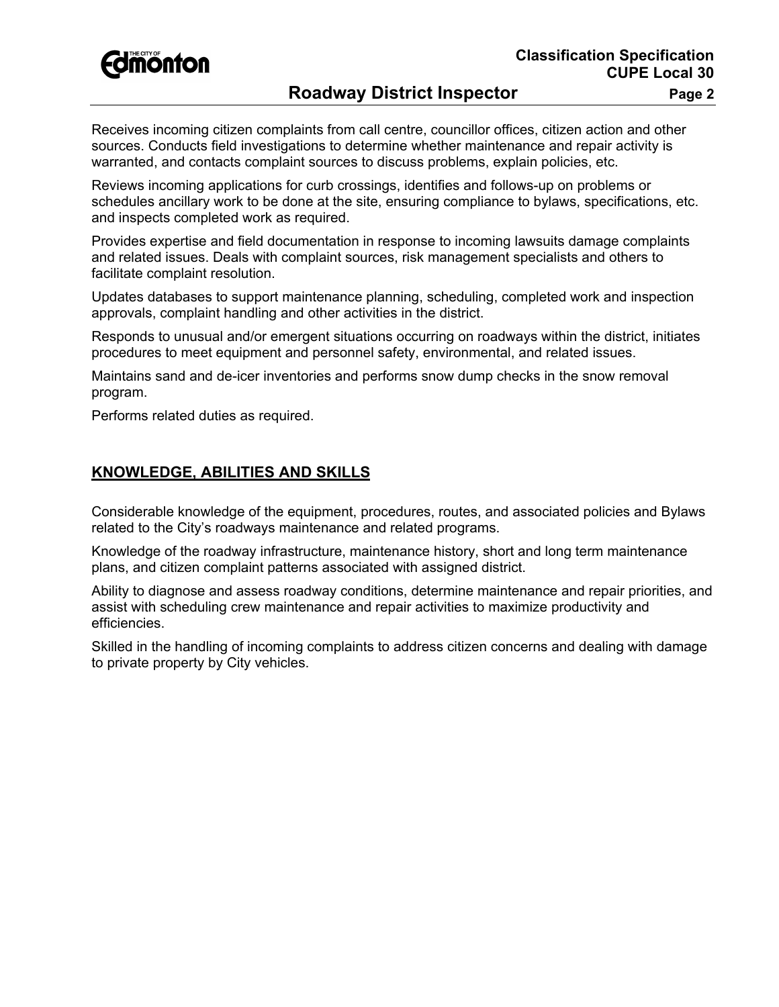

## **Roadway District Inspector Fage 2** Page 2

Receives incoming citizen complaints from call centre, councillor offices, citizen action and other sources. Conducts field investigations to determine whether maintenance and repair activity is warranted, and contacts complaint sources to discuss problems, explain policies, etc.

Reviews incoming applications for curb crossings, identifies and follows-up on problems or schedules ancillary work to be done at the site, ensuring compliance to bylaws, specifications, etc. and inspects completed work as required.

Provides expertise and field documentation in response to incoming lawsuits damage complaints and related issues. Deals with complaint sources, risk management specialists and others to facilitate complaint resolution.

Updates databases to support maintenance planning, scheduling, completed work and inspection approvals, complaint handling and other activities in the district.

Responds to unusual and/or emergent situations occurring on roadways within the district, initiates procedures to meet equipment and personnel safety, environmental, and related issues.

Maintains sand and de-icer inventories and performs snow dump checks in the snow removal program.

Performs related duties as required.

#### **KNOWLEDGE, ABILITIES AND SKILLS**

Considerable knowledge of the equipment, procedures, routes, and associated policies and Bylaws related to the City's roadways maintenance and related programs.

Knowledge of the roadway infrastructure, maintenance history, short and long term maintenance plans, and citizen complaint patterns associated with assigned district.

Ability to diagnose and assess roadway conditions, determine maintenance and repair priorities, and assist with scheduling crew maintenance and repair activities to maximize productivity and efficiencies.

Skilled in the handling of incoming complaints to address citizen concerns and dealing with damage to private property by City vehicles.